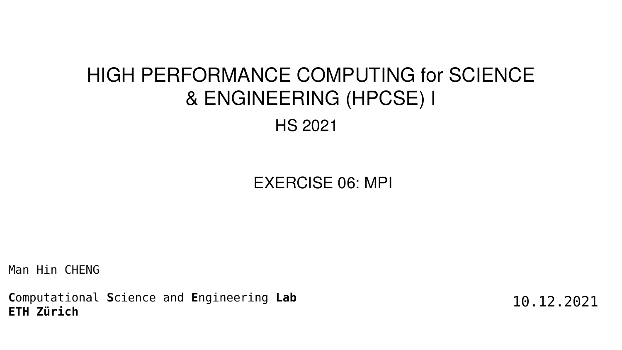Man Hin CHENG

**C**omputational **S**cience and **E**ngineering **Lab ETH Zürich**

EXERCISE 06: MPI

# HIGH PERFORMANCE COMPUTING for SCIENCE & ENGINEERING (HPCSE) I HS 2021

10.12.2021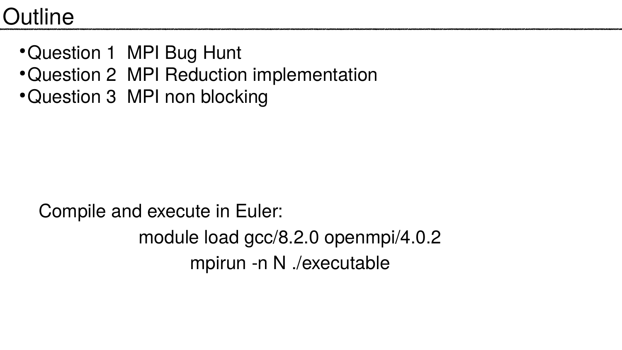# **Outline**

- Question 1 MPI Bug Hunt
- Question 2 MPI Reduction implementation
- Question 3 MPI non blocking

# Compile and execute in Euler: module load gcc/8.2.0 openmpi/4.0.2 mpirun -n N ./executable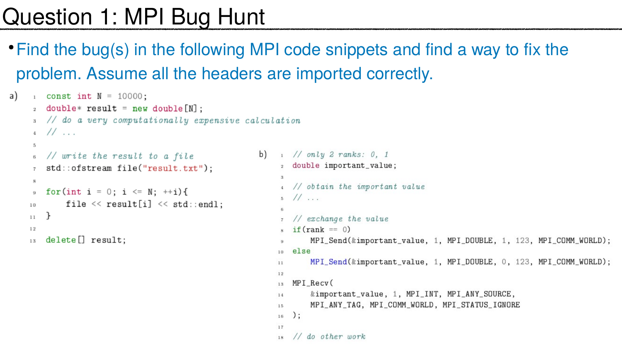# Question 1: MPI Bug Hunt

• Find the bug(s) in the following MPI code snippets and find a way to fix the problem. Assume all the headers are imported correctly.

```
1 const int N = 10000;
a)
     : double* result = new double[N];s // do a very computationally expensive calculation
     \frac{1}{4} // ...
     5
                                                         b) 1 / \text{only } 2 \text{ ranks: } 0, 16 // write the result to a file
                                                              2 double important_value;
        std::ofstream file("result.txt");
                                                              -31
     8
                                                              4 // obtain the important value
        for(int i = 0; i <= N; ++i){
     9 -5 // ...
            file << result[i] << std::endl;
    10
                                                              6.
    11// exchange the value
                                                              s if (rank == 0)12
        delete[] result;MPI_Send(&important_value, 1, MPI_DOUBLE, 1, 123, MPI_COMM_WORLD);
    13
                                                                else
                                                             10 -MPI_Send(&important_value, 1, MPI_DOUBLE, 0, 123, MPI_COMM_WORLD);
                                                             11
                                                             12
                                                               MPI_Recv(
                                                             13
                                                                    &important_value, 1, MPI_INT, MPI_ANY_SOURCE,
                                                             14
                                                                    MPI_ANY_TAG, MPI_COMM_WORLD, MPI_STATUS_IGNORE
                                                             1\,5);
                                                             1\,61\,7// do other work
                                                             1\,\mathrm{s}
```
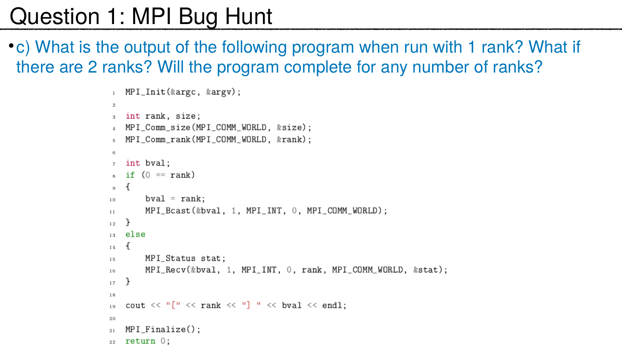# Question 1: MPI Bug Hunt

there are 2 ranks? Will the program complete for any number of ranks?

```
1 MPI_Init(&argc, &argv);
 -21
  int rank, size;
 3 -MPI_Comm_size(MPI_COMM_WORLD, &size);
   MPI_Comm_rank(MPI_COMM_WORLD, &rank);
 -61
   int bval;
 7 -s if (0 == rank)\mathcal{L}\Thetabval = rank;10 -MPI_Bcast(&bval, 1, MPI_INT, 0, MPI_COMM_WORLD);
11\mathcal{F}1\,2 .
13 else
    \mathcal{F}_{\mathcal{A}}1\,4MPI_Status stat;
15 -16.
    \mathbf{F}1\,7 .
18.
    cout << "[" << rank << "] " << bval << endl;
19.
-20
    MPI_Finalize();
2\,1return 0;22-
```
# • c) What is the output of the following program when run with 1 rank? What if

MPI\_Recv(&bval, 1, MPI\_INT, 0, rank, MPI\_COMM\_WORLD, &stat);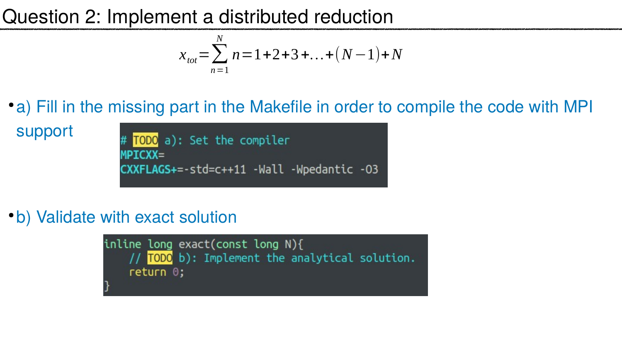# Question 2: Implement a distributed reduction

support # TODO a): Set the compiler

**MPICXX=**  $c$ XXFLAGS+=-std=c++11 -Wall -Wpedantic -03

• b) Validate with exact solution

inline long  $exact$  (const long  $N$ ) { // TODO b): Implement the analytical solution.  $return  $0$ ;$ 

 $-3 + ... + (N-1) + N$ 

### •a) Fill in the missing part in the Makefile in order to compile the code with MPI



$$
x_{\text{tot}} = \sum_{n=1}^{N} n = 1 + 2 +
$$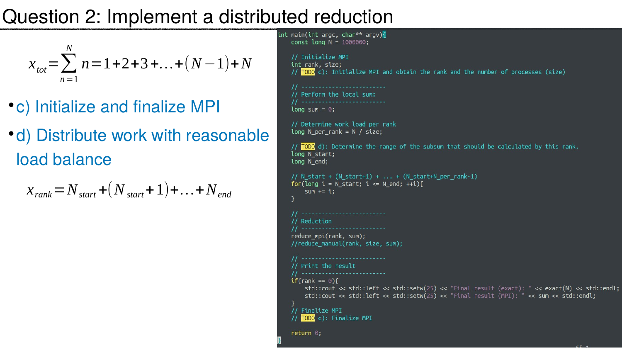# Question 2: Implement a distributed reduction

- c) Initialize and finalize MPI
- d) Distribute work with reasonable load balance

$$
x_{\text{tot}} = \sum_{n=1}^{N} n = 1 + 2 + 3 + ... + (N - 1) + N
$$

$$
X_{rank} = N_{start} + (N_{start} + 1) + \dots + N_{end}
$$

```
int main(int argc, char** argv){
   const long N = 1000000;
   // Initialize MPI
   int rank, size;
   // TODO c): Initialize MPI and obtain the rank and the number of processes (size)
    // ---------------------------
    // Perform the local sum:
    // ---------------------------
   long sum = 0;
   // Determine work load per rank
   long N_{per\_rank} = N / size;// TODO d): Determine the range of the subsum that should be calculated by this rank.
   long N_start;
    long N_end;
   // N_{\text{start}} + (N_{\text{start}+1}) + ... + (N_{\text{start}+N_{\text{per}+n}})for(long i = N_{start}; i \le N_{end}; ++i){
        sum += i;// --------------------------
   // Reduction
    reduce_mpi(rank, sum);
   //reduce_manual(rank, size, sum);
    // ---------------------------
   // Print the result
    // --------------------------
   if(rank == 0)std::cout << std::left << std::setw(25) << "Final result (exact): " << exact(N) << std::endl;
        std::cout << std::left << std::setw(25) << "Final result (MPI): " << sum << std::endl;
   // Finalize MPI
   // TODO c): Finalize MPI
```
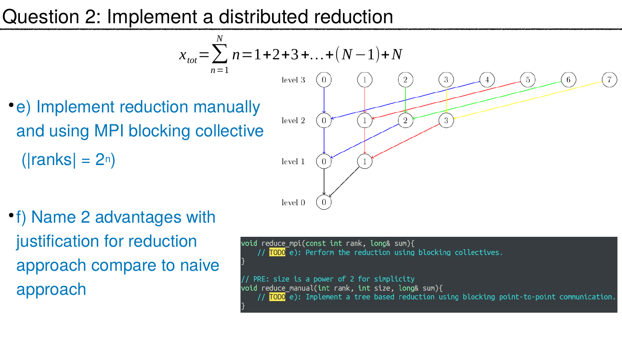# Question 2: Implement a distributed reduction

 $X_{tot} = \sum$  $n=1$ *N*

• e) Implement reduction manually and using MPI blocking collective  $(|ranks| = 2<sup>n</sup>)$ 

● f) Name 2 advantages with justification for reduction approach compare to naive approach





void reduce\_mpi(const int rank, long& sum){ // TODO e): Perform the reduction using blocking collectives.

PRE: size is a power of 2 for simplicity void reduce\_manual(int rank, int size, long& sum){ // TODO e): Implement a tree based reduction using blocking point-to-point communication.



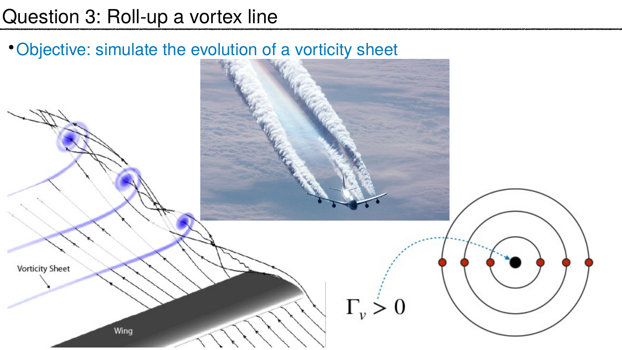### • Objective: simulate the evolution of a vorticity sheet

Wing

**Vorticity Sheet** 



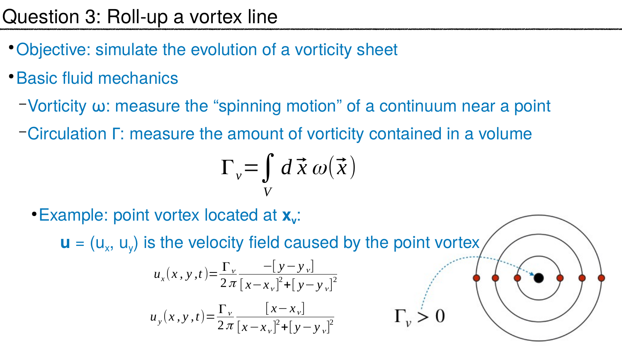- Objective: simulate the evolution of a vorticity sheet
- Basic fluid mechanics
	-
	- –Vorticity ω: measure the "spinning motion" of a continuum near a point –Circulation Γ: measure the amount of vorticity contained in a volume

● Example: point vortex located at **x<sup>v</sup>** :  $\mathbf{u} = (u_x, u_y)$  is the velocity field caused by the point vortex

$$
\Gamma_v = \int\limits_V d
$$

$$
u_x(x, y, t) = \frac{\Gamma_y}{2\pi} \frac{-[y - y_y]}{[x - x_y]^2 + [y - y_y]}
$$



$$
u_y(x, y, t) = \frac{\Gamma_v}{2\pi} \frac{\left[x - x_y\right]}{\left[x - x_y\right]^2 + \left[y - x_y\right]^2}
$$

 $d\vec{x} \omega(\vec{x})$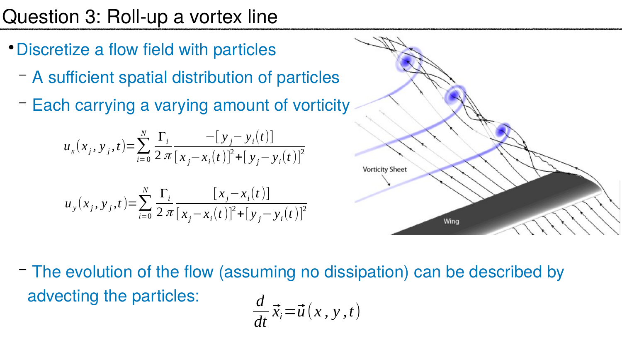- Discretize a flow field with particles
	- A sufficient spatial distribution of particles
	- Each carrying a varying amount of vorticity

### – The evolution of the flow (assuming no dissipation) can be described by

$$
u_x(x_j, y_j, t) = \sum_{i=0}^{N} \frac{\Gamma_i}{2 \pi} \frac{-[y_j - y_i(t)]}{[x_j - x_i(t)]^2 + [y_j - y_i(t)]}
$$

advecting the particles: *d*

$$
u_{y}(x_{j}, y_{j}, t) = \sum_{i=0}^{N} \frac{\Gamma_{i}}{2 \pi} \frac{[x_{j} - x_{i}(t)]}{[x_{j} - x_{i}(t)]^{2} + [y_{j} - y_{i}(t)]}
$$



*dt*

$$
\vec{x}_i = \vec{u}(x, y, t)
$$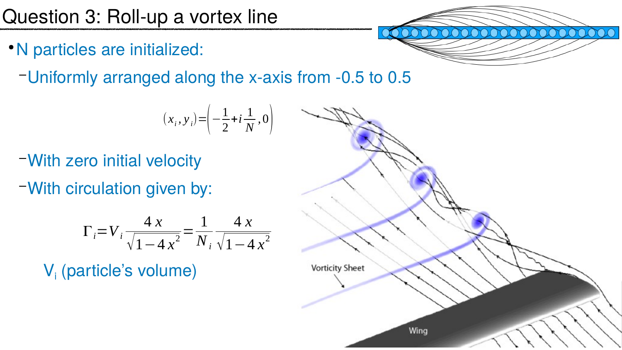### ● N particles are initialized:

–Uniformly arranged along the x-axis from -0.5 to 0.5

- –With zero initial velocity
- –With circulation given by:

$$
(x_i, y_i) = \left(-\frac{1}{2} + i\frac{1}{N}, 0\right)
$$

$$
\Gamma_i = V_i \frac{4 x}{\sqrt{1 - 4 x^2}} = \frac{1}{N_i} \frac{4 x}{\sqrt{1 - 4 x^2}}
$$

V<sub>i</sub> (particle's volume)



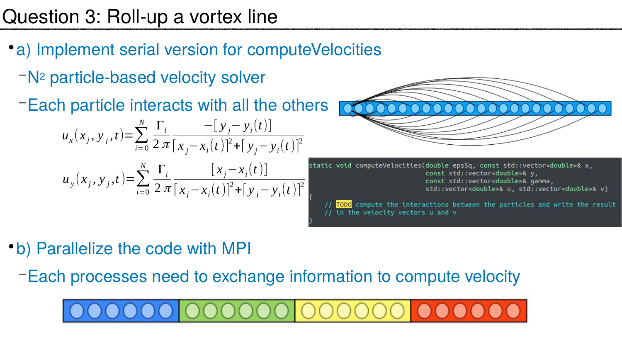- a) Implement serial version for computeVelocities
	- –N2 particle-based velocity solver
	- –Each particle interacts with all the others

• b) Parallelize the code with MPI –Each processes need to exchange information to compute velocity

$$
u_x(x_j, y_j, t) = \sum_{i=0}^{N} \frac{\Gamma_i}{2 \pi} \frac{-[y_j - y_i(t)]}{[x_j - x_i(t)]^2 + [y_j - y_i(t)]}
$$
  

$$
u_y(x_j, y_j, t) = \sum_{i=0}^{N} \frac{\Gamma_i}{2 \pi} \frac{[x_j - x_i(t)]}{[x_j - x_i(t)]^2 + [y_j - y_i(t)]}
$$



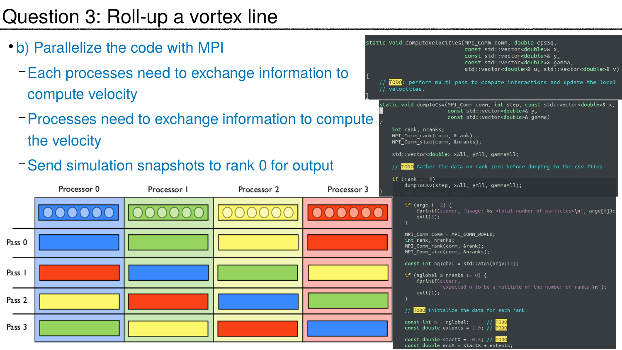- b) Parallelize the code with MPI
	- Each processes need to exchange inform compute velocity
	- –Processes need to exchange information to compute the velocity
	- Send simulation snapshots to rank 0 for



|                   | static void computeVelocities(MPI Comm comm, double epsSq,<br>const std::vector <double>&amp; x,</double>                                                           |
|-------------------|---------------------------------------------------------------------------------------------------------------------------------------------------------------------|
| nation to         | const std::vector <double>&amp; y,<br/>const std::vector<double>&amp; gamma,<br/>std::vector<double>&amp; u, std::vector&lt;</double></double></double>             |
|                   | // TODO: perform multi pass to compute interactions and update<br>// velocities.                                                                                    |
| <b>to compute</b> | static void dumpToCsv(MPI Comm comm, int step, const std::vector<<br>const std::vector <double>&amp; y,<br/>const std::vector<double>&amp; gamma)</double></double> |
|                   | int rank, nranks;<br>MPI Comm rank(comm, &rank);<br>MPI Comm size(comm, &nranks);                                                                                   |
|                   | std::vector <double> xAll, yAll, gammaAll;</double>                                                                                                                 |
| output            | // <mark>TODO</mark> Gather the data on rank zero before dumping to the cs <sup>.</sup>                                                                             |
| Processor 3       | if (rank == 0)<br>dumpToCsv(step, xAll, yAll, gammaAll);                                                                                                            |
|                   | if (argc != 2) {<br>fprintf(stderr, "usage: %s <total number="" of="" particles="">\n'<br/>exit(1);</total>                                                         |
|                   | MPI Comm comm = MPI_COMM_WORLD;<br>int rank, nranks;<br>MPI_Comm_rank(comm, &rank);<br>MPI_Comm_size(comm, &nranks);                                                |
|                   | const int nglobal = $std::atoi(argv[1]);$<br>if (nglobal % nranks != 0) {<br>fprintf(stderr,<br>"expected n to be a multiple of the number of rar                   |
|                   | exit(1);<br>// TODO initialize the data for each rank.                                                                                                              |
|                   | const $int n = nglobal;$<br><b>TODO</b><br>const double extents = $1.0$ ; // $\overline{I0D0}$                                                                      |
|                   | const double startX = $-0.5$ ; // TODO<br>$const$ double endX = startX + extents;                                                                                   |